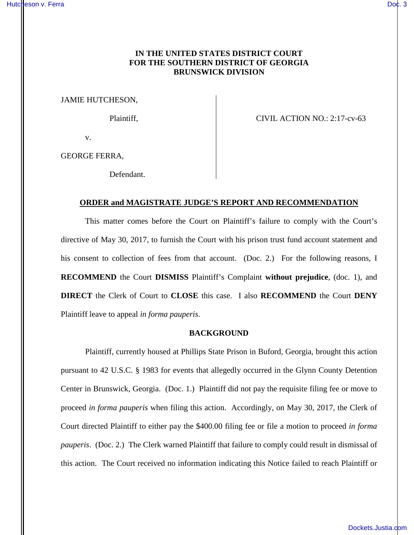# **IN THE UNITED STATES DISTRICT COURT FOR THE SOUTHERN DISTRICT OF GEORGIA BRUNSWICK DIVISION**

JAMIE HUTCHESON,

Plaintiff,  $CIVIL$  ACTION NO.: 2:17-cv-63

v.

GEORGE FERRA,

Defendant.

## **ORDER and MAGISTRATE JUDGE'S REPORT AND RECOMMENDATION**

This matter comes before the Court on Plaintiff's failure to comply with the Court's directive of May 30, 2017, to furnish the Court with his prison trust fund account statement and his consent to collection of fees from that account. (Doc. 2.) For the following reasons, I **RECOMMEND** the Court **DISMISS** Plaintiff's Complaint **without prejudice**, (doc. 1), and **DIRECT** the Clerk of Court to **CLOSE** this case. I also **RECOMMEND** the Court **DENY**  Plaintiff leave to appeal *in forma pauperis*.

#### **BACKGROUND**

Plaintiff, currently housed at Phillips State Prison in Buford, Georgia, brought this action pursuant to 42 U.S.C. § 1983 for events that allegedly occurred in the Glynn County Detention Center in Brunswick, Georgia. (Doc. 1.) Plaintiff did not pay the requisite filing fee or move to proceed *in forma pauperis* when filing this action. Accordingly, on May 30, 2017, the Clerk of Court directed Plaintiff to either pay the \$400.00 filing fee or file a motion to proceed *in forma pauperis*. (Doc. 2.) The Clerk warned Plaintiff that failure to comply could result in dismissal of this action. The Court received no information indicating this Notice failed to reach Plaintiff or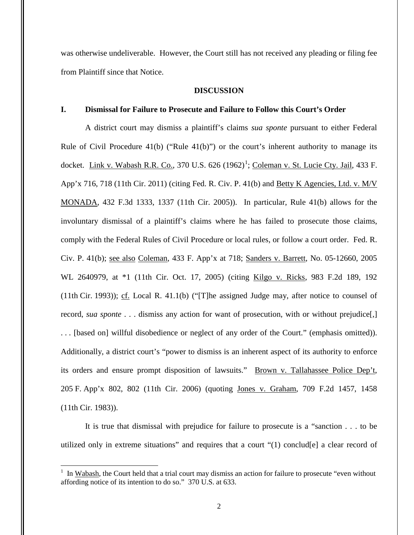was otherwise undeliverable. However, the Court still has not received any pleading or filing fee from Plaintiff since that Notice.

#### **DISCUSSION**

# **I. Dismissal for Failure to Prosecute and Failure to Follow this Court's Order**

A district court may dismiss a plaintiff's claims *sua sponte* pursuant to either Federal Rule of Civil Procedure  $41(b)$  ("Rule  $41(b)$ ") or the court's inherent authority to manage its docket. Link v. Wabash R.R. Co., 370 U.S. 626 (1962)<sup>1</sup>; Coleman v. St. Lucie Cty. Jail, 433 F. App'x 716, 718 (11th Cir. 2011) (citing Fed. R. Civ. P. 41(b) and Betty K Agencies, Ltd. v. M/V MONADA, 432 F.3d 1333, 1337 (11th Cir. 2005)). In particular, Rule 41(b) allows for the involuntary dismissal of a plaintiff's claims where he has failed to prosecute those claims, comply with the Federal Rules of Civil Procedure or local rules, or follow a court order. Fed. R. Civ. P. 41(b); see also Coleman, 433 F. App'x at 718; Sanders v. Barrett, No. 05-12660, 2005 WL 2640979, at \*1 (11th Cir. Oct. 17, 2005) (citing Kilgo v. Ricks, 983 F.2d 189, 192  $(11th Cir. 1993)$ ; cf. Local R. 41.1(b) ("[T]he assigned Judge may, after notice to counsel of record, *sua sponte* . . . dismiss any action for want of prosecution, with or without prejudice[,] . . . [based on] willful disobedience or neglect of any order of the Court." (emphasis omitted)). Additionally, a district court's "power to dismiss is an inherent aspect of its authority to enforce its orders and ensure prompt disposition of lawsuits." Brown v. Tallahassee Police Dep't, 205 F. App'x 802, 802 (11th Cir. 2006) (quoting Jones v. Graham, 709 F.2d 1457, 1458 (11th Cir. 1983)).

It is true that dismissal with prejudice for failure to prosecute is a "sanction . . . to be utilized only in extreme situations" and requires that a court "(1) conclud[e] a clear record of

 $\overline{a}$ 

<sup>&</sup>lt;sup>1</sup> In Wabash, the Court held that a trial court may dismiss an action for failure to prosecute "even without affording notice of its intention to do so." 370 U.S. at 633.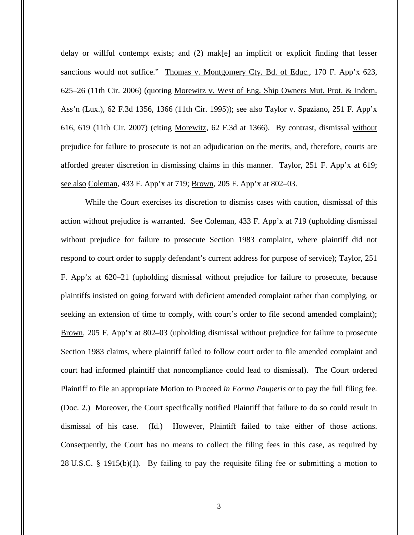delay or willful contempt exists; and (2) mak[e] an implicit or explicit finding that lesser sanctions would not suffice." Thomas v. Montgomery Cty. Bd. of Educ., 170 F. App'x 623, 625–26 (11th Cir. 2006) (quoting Morewitz v. West of Eng. Ship Owners Mut. Prot. & Indem. Ass'n (Lux.), 62 F.3d 1356, 1366 (11th Cir. 1995)); see also Taylor v. Spaziano, 251 F. App'x 616, 619 (11th Cir. 2007) (citing Morewitz, 62 F.3d at 1366). By contrast, dismissal without prejudice for failure to prosecute is not an adjudication on the merits, and, therefore, courts are afforded greater discretion in dismissing claims in this manner. Taylor, 251 F. App'x at 619; see also Coleman, 433 F. App'x at 719; Brown, 205 F. App'x at 802–03.

While the Court exercises its discretion to dismiss cases with caution, dismissal of this action without prejudice is warranted. See Coleman, 433 F. App'x at 719 (upholding dismissal without prejudice for failure to prosecute Section 1983 complaint, where plaintiff did not respond to court order to supply defendant's current address for purpose of service); Taylor, 251 F. App'x at 620–21 (upholding dismissal without prejudice for failure to prosecute, because plaintiffs insisted on going forward with deficient amended complaint rather than complying, or seeking an extension of time to comply, with court's order to file second amended complaint); Brown, 205 F. App'x at 802–03 (upholding dismissal without prejudice for failure to prosecute Section 1983 claims, where plaintiff failed to follow court order to file amended complaint and court had informed plaintiff that noncompliance could lead to dismissal). The Court ordered Plaintiff to file an appropriate Motion to Proceed *in Forma Pauperis* or to pay the full filing fee. (Doc. 2.) Moreover, the Court specifically notified Plaintiff that failure to do so could result in dismissal of his case. (Id.) However, Plaintiff failed to take either of those actions. Consequently, the Court has no means to collect the filing fees in this case, as required by 28 U.S.C. § 1915(b)(1). By failing to pay the requisite filing fee or submitting a motion to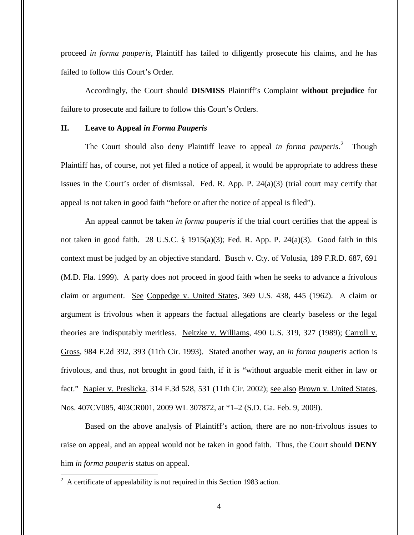proceed *in forma pauperis*, Plaintiff has failed to diligently prosecute his claims, and he has failed to follow this Court's Order.

Accordingly, the Court should **DISMISS** Plaintiff's Complaint **without prejudice** for failure to prosecute and failure to follow this Court's Orders.

### **II. Leave to Appeal** *in Forma Pauperis*

The Court should also deny Plaintiff leave to appeal *in forma pauperis*. 2 Though Plaintiff has, of course, not yet filed a notice of appeal, it would be appropriate to address these issues in the Court's order of dismissal. Fed. R. App. P. 24(a)(3) (trial court may certify that appeal is not taken in good faith "before or after the notice of appeal is filed").

An appeal cannot be taken *in forma pauperis* if the trial court certifies that the appeal is not taken in good faith. 28 U.S.C. § 1915(a)(3); Fed. R. App. P. 24(a)(3). Good faith in this context must be judged by an objective standard. Busch v. Cty. of Volusia, 189 F.R.D. 687, 691 (M.D. Fla. 1999). A party does not proceed in good faith when he seeks to advance a frivolous claim or argument. See Coppedge v. United States, 369 U.S. 438, 445 (1962). A claim or argument is frivolous when it appears the factual allegations are clearly baseless or the legal theories are indisputably meritless. Neitzke v. Williams, 490 U.S. 319, 327 (1989); Carroll v. Gross, 984 F.2d 392, 393 (11th Cir. 1993). Stated another way, an *in forma pauperis* action is frivolous, and thus, not brought in good faith, if it is "without arguable merit either in law or fact." Napier v. Preslicka, 314 F.3d 528, 531 (11th Cir. 2002); <u>see also Brown v. United States</u>, Nos. 407CV085, 403CR001, 2009 WL 307872, at \*1–2 (S.D. Ga. Feb. 9, 2009).

Based on the above analysis of Plaintiff's action, there are no non-frivolous issues to raise on appeal, and an appeal would not be taken in good faith. Thus, the Court should **DENY** him *in forma pauperis* status on appeal.  $\overline{a}$ 

 $2^2$  A certificate of appealability is not required in this Section 1983 action.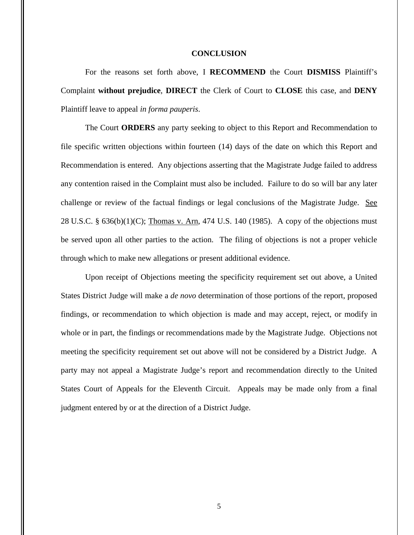### **CONCLUSION**

For the reasons set forth above, I **RECOMMEND** the Court **DISMISS** Plaintiff's Complaint **without prejudice**, **DIRECT** the Clerk of Court to **CLOSE** this case, and **DENY** Plaintiff leave to appeal *in forma pauperis*.

The Court **ORDERS** any party seeking to object to this Report and Recommendation to file specific written objections within fourteen (14) days of the date on which this Report and Recommendation is entered. Any objections asserting that the Magistrate Judge failed to address any contention raised in the Complaint must also be included. Failure to do so will bar any later challenge or review of the factual findings or legal conclusions of the Magistrate Judge. See 28 U.S.C. § 636(b)(1)(C); Thomas v. Arn, 474 U.S. 140 (1985). A copy of the objections must be served upon all other parties to the action. The filing of objections is not a proper vehicle through which to make new allegations or present additional evidence.

Upon receipt of Objections meeting the specificity requirement set out above, a United States District Judge will make a *de novo* determination of those portions of the report, proposed findings, or recommendation to which objection is made and may accept, reject, or modify in whole or in part, the findings or recommendations made by the Magistrate Judge. Objections not meeting the specificity requirement set out above will not be considered by a District Judge. A party may not appeal a Magistrate Judge's report and recommendation directly to the United States Court of Appeals for the Eleventh Circuit. Appeals may be made only from a final judgment entered by or at the direction of a District Judge.